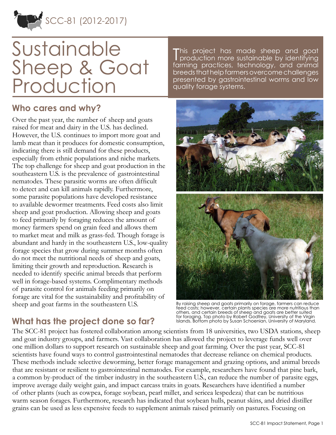

# Sustainable Sheep & Goat Production

### **Who cares and why?**

Over the past year, the number of sheep and goats raised for meat and dairy in the U.S. has declined. However, the U.S. continues to import more goat and lamb meat than it produces for domestic consumption, indicating there is still demand for these products, especially from ethnic populations and niche markets. The top challenge for sheep and goat production in the southeastern U.S. is the prevalence of gastrointestinal nematodes. These parasitic worms are often difficult to detect and can kill animals rapidly. Furthermore, some parasite populations have developed resistance to available dewormer treatments. Feed costs also limit sheep and goat production. Allowing sheep and goats to feed primarily by foraging reduces the amount of money farmers spend on grain feed and allows them to market meat and milk as grass-fed. Though forage is abundant and hardy in the southeastern U.S., low-quality forage species that grow during summer months often do not meet the nutritional needs of sheep and goats, limiting their growth and reproduction. Research is needed to identify specific animal breeds that perform well in forage-based systems. Complimentary methods of parasite control for animals feeding primarily on forage are vital for the sustainability and profitability of sheep and goat farms in the southeastern U.S.

This project has made sheep and goat<br>Tproduction more sustainable by identifying production more sustainable by identifying farming practices, technology, and animal breeds that help farmers overcome challenges presented by gastrointestinal worms and low quality forage systems.



By raising sheep and goats primarily on forage, farmers can reduce feed costs; however, certain plants species are more nutritious than others, and certain breeds of sheep and goats are better suited for foraging. Top photo by Robert Godfrey, University of the Virgin Islands. Bottom photo by Susan Schoenian, University of Maryland.

# **What has the project done so far?**

The SCC-81 project has fostered collaboration among scientists from 18 universities, two USDA stations, sheep and goat industry groups, and farmers. Vast collaboration has allowed the project to leverage funds well over one million dollars to support research on sustainable sheep and goat farming. Over the past year, SCC-81 scientists have found ways to control gastrointestinal nematodes that decrease reliance on chemical products. These methods include selective deworming, better forage management and grazing options, and animal breeds that are resistant or resilient to gastrointestinal nematodes. For example, researchers have found that pine bark, a common by-product of the timber industry in the southeastern U.S., can reduce the number of parasite eggs, improve average daily weight gain, and impact carcass traits in goats. Researchers have identified a number of other plants (such as cowpea, forage soybean, pearl millet, and sericea lespedeza) that can be nutritious warm season forages. Furthermore, research has indicated that soybean hulls, peanut skins, and dried distiller grains can be used as less expensive feeds to supplement animals raised primarily on pastures. Focusing on